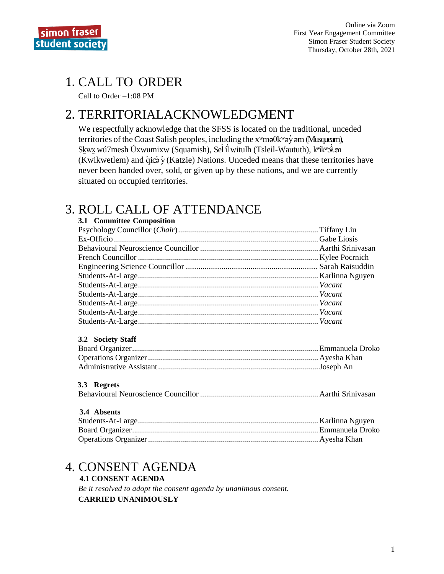

# **1. CALL TO ORDER**

Call to Order  $-1:08$  PM

## 2. TERRITORIALACKNOWLEDGMENT

We respectfully acknowledge that the SFSS is located on the traditional, unceded territories of the Coast Salish peoples, including the  $x^w$ ma $\theta$ k $^w$ a $\dot{y}$  am (Musqueam), Skwx wú7mesh Úxwumixw (Squamish), Sel íl witulh (Tsleil-Waututh), kwikwa m (Kwikwetlem) and  $\dot{q}$ ic $\dot{\dot{q}}$  (Katzie) Nations. Unceded means that these territories have never been handed over, sold, or given up by these nations, and we are currently situated on occupied territories.

# **3. ROLL CALL OF ATTENDANCE**

| 3.1 Committee Composition |  |  |
|---------------------------|--|--|
|                           |  |  |
|                           |  |  |
|                           |  |  |
|                           |  |  |
|                           |  |  |
|                           |  |  |
|                           |  |  |
|                           |  |  |
|                           |  |  |
|                           |  |  |
|                           |  |  |

### 3.2 Society Staff

### 3.3 Regrets

#### 3.4 Absents

# 4. CONSENT AGENDA

**4.1 CONSENT AGENDA** Be it resolved to adopt the consent agenda by unanimous consent. **CARRIED UNANIMOUSLY**